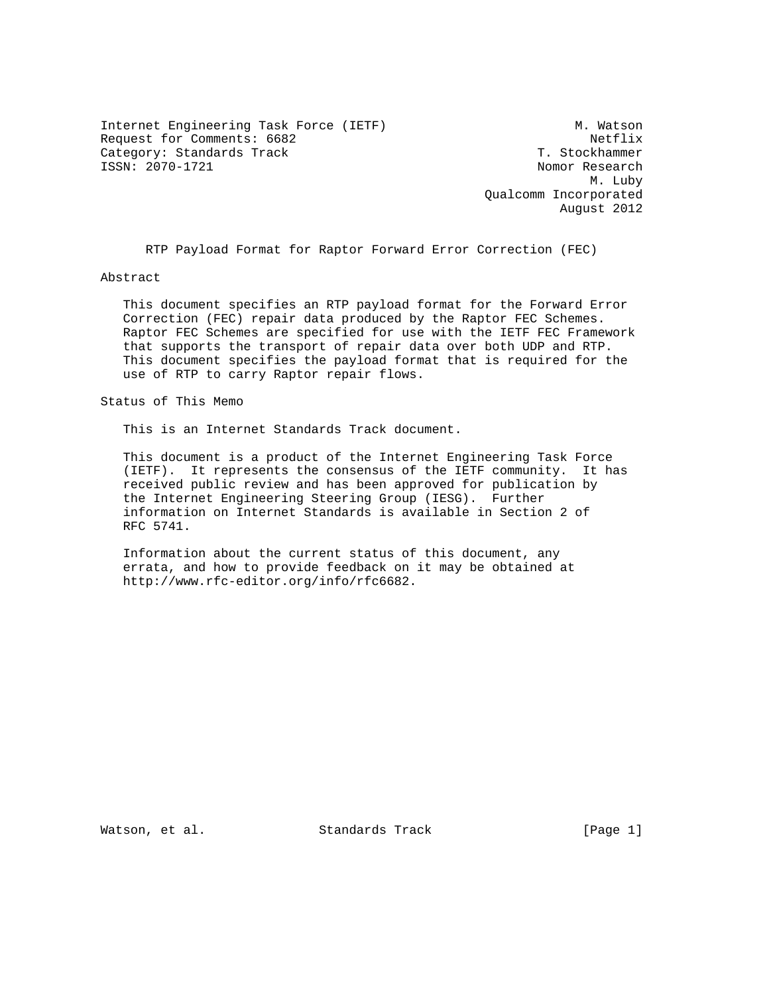Internet Engineering Task Force (IETF) M. Watson Request for Comments: 6682<br>Category: Standards Track Netflix (North Stockhammer Category: Standards Track<br>ISSN: 2070-1721

Nomor Research M. Luby Qualcomm Incorporated August 2012

RTP Payload Format for Raptor Forward Error Correction (FEC)

Abstract

 This document specifies an RTP payload format for the Forward Error Correction (FEC) repair data produced by the Raptor FEC Schemes. Raptor FEC Schemes are specified for use with the IETF FEC Framework that supports the transport of repair data over both UDP and RTP. This document specifies the payload format that is required for the use of RTP to carry Raptor repair flows.

Status of This Memo

This is an Internet Standards Track document.

 This document is a product of the Internet Engineering Task Force (IETF). It represents the consensus of the IETF community. It has received public review and has been approved for publication by the Internet Engineering Steering Group (IESG). Further information on Internet Standards is available in Section 2 of RFC 5741.

 Information about the current status of this document, any errata, and how to provide feedback on it may be obtained at http://www.rfc-editor.org/info/rfc6682.

Watson, et al. Standards Track [Page 1]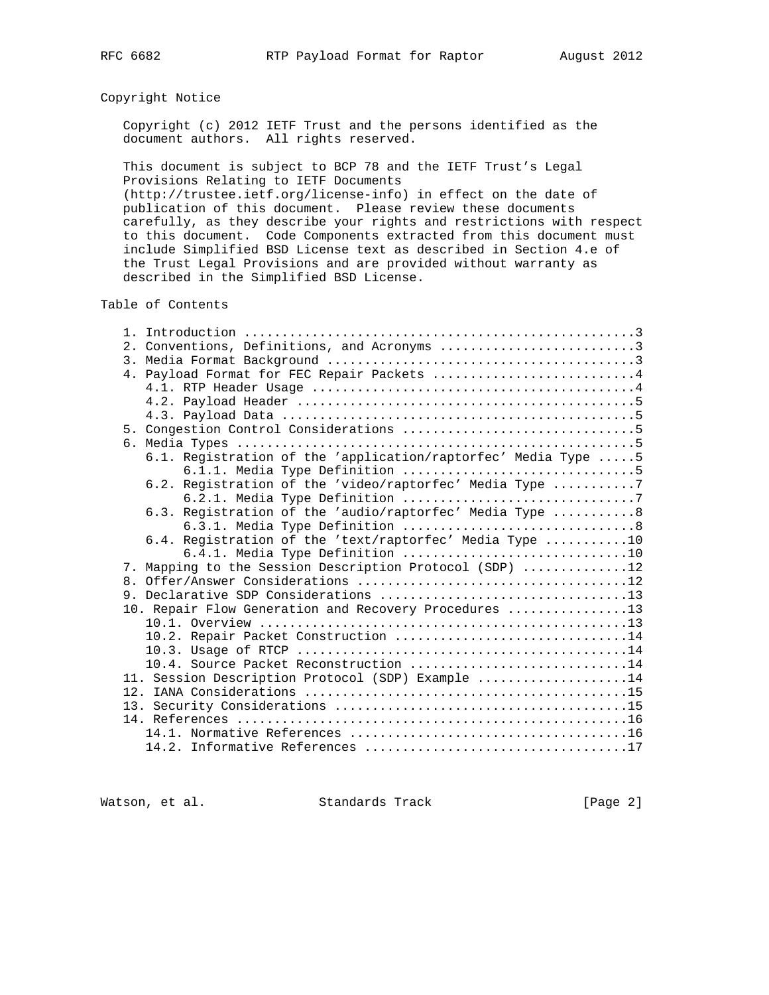# Copyright Notice

 Copyright (c) 2012 IETF Trust and the persons identified as the document authors. All rights reserved.

 This document is subject to BCP 78 and the IETF Trust's Legal Provisions Relating to IETF Documents (http://trustee.ietf.org/license-info) in effect on the date of publication of this document. Please review these documents carefully, as they describe your rights and restrictions with respect to this document. Code Components extracted from this document must include Simplified BSD License text as described in Section 4.e of the Trust Legal Provisions and are provided without warranty as

described in the Simplified BSD License.

Table of Contents

|  | 2. Conventions, Definitions, and Acronyms 3                    |
|--|----------------------------------------------------------------|
|  |                                                                |
|  | 4. Payload Format for FEC Repair Packets 4                     |
|  |                                                                |
|  |                                                                |
|  |                                                                |
|  |                                                                |
|  |                                                                |
|  | 6.1. Registration of the 'application/raptorfec' Media Type  5 |
|  |                                                                |
|  | 6.2. Registration of the 'video/raptorfec' Media Type 7        |
|  |                                                                |
|  | 6.3. Registration of the 'audio/raptorfec' Media Type 8        |
|  |                                                                |
|  | 6.4. Registration of the 'text/raptorfec' Media Type 10        |
|  | 6.4.1. Media Type Definition 10                                |
|  | 7. Mapping to the Session Description Protocol (SDP) 12        |
|  |                                                                |
|  |                                                                |
|  | 10. Repair Flow Generation and Recovery Procedures 13          |
|  |                                                                |
|  | 10.2. Repair Packet Construction 14                            |
|  |                                                                |
|  | 10.4. Source Packet Reconstruction 14                          |
|  | 11. Session Description Protocol (SDP) Example 14              |
|  |                                                                |
|  |                                                                |
|  |                                                                |
|  |                                                                |
|  |                                                                |

Watson, et al. Standards Track [Page 2]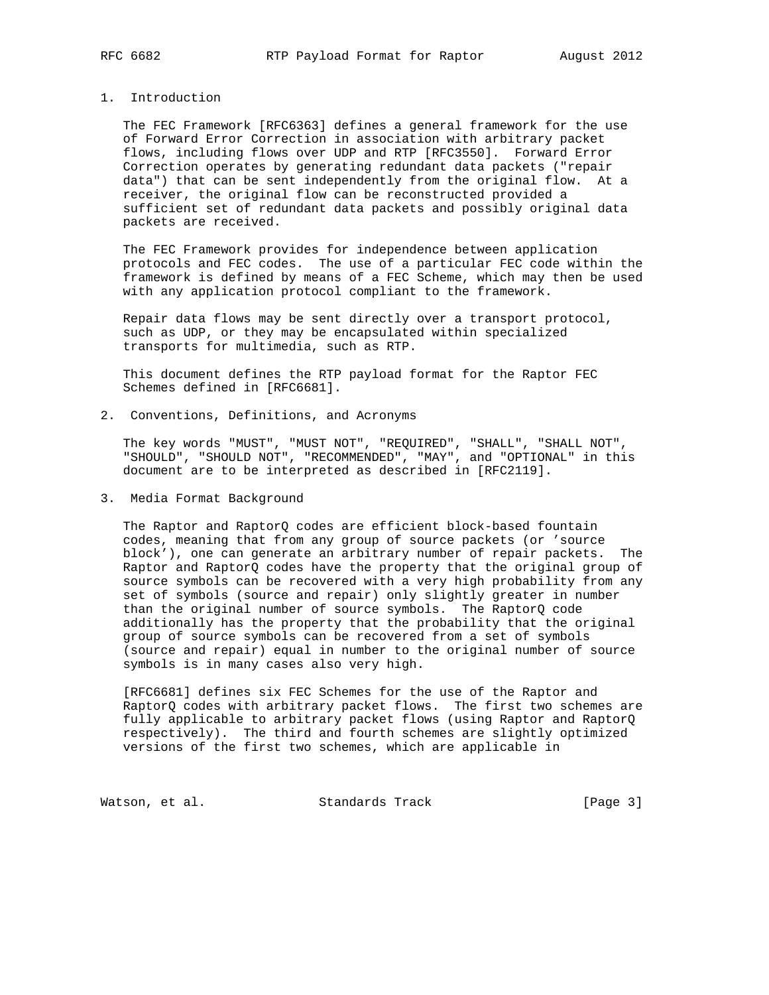## 1. Introduction

 The FEC Framework [RFC6363] defines a general framework for the use of Forward Error Correction in association with arbitrary packet flows, including flows over UDP and RTP [RFC3550]. Forward Error Correction operates by generating redundant data packets ("repair data") that can be sent independently from the original flow. At a receiver, the original flow can be reconstructed provided a sufficient set of redundant data packets and possibly original data packets are received.

 The FEC Framework provides for independence between application protocols and FEC codes. The use of a particular FEC code within the framework is defined by means of a FEC Scheme, which may then be used with any application protocol compliant to the framework.

 Repair data flows may be sent directly over a transport protocol, such as UDP, or they may be encapsulated within specialized transports for multimedia, such as RTP.

 This document defines the RTP payload format for the Raptor FEC Schemes defined in [RFC6681].

2. Conventions, Definitions, and Acronyms

 The key words "MUST", "MUST NOT", "REQUIRED", "SHALL", "SHALL NOT", "SHOULD", "SHOULD NOT", "RECOMMENDED", "MAY", and "OPTIONAL" in this document are to be interpreted as described in [RFC2119].

#### 3. Media Format Background

 The Raptor and RaptorQ codes are efficient block-based fountain codes, meaning that from any group of source packets (or 'source block'), one can generate an arbitrary number of repair packets. The Raptor and RaptorQ codes have the property that the original group of source symbols can be recovered with a very high probability from any set of symbols (source and repair) only slightly greater in number than the original number of source symbols. The RaptorQ code additionally has the property that the probability that the original group of source symbols can be recovered from a set of symbols (source and repair) equal in number to the original number of source symbols is in many cases also very high.

 [RFC6681] defines six FEC Schemes for the use of the Raptor and RaptorQ codes with arbitrary packet flows. The first two schemes are fully applicable to arbitrary packet flows (using Raptor and RaptorQ respectively). The third and fourth schemes are slightly optimized versions of the first two schemes, which are applicable in

Watson, et al. Standards Track [Page 3]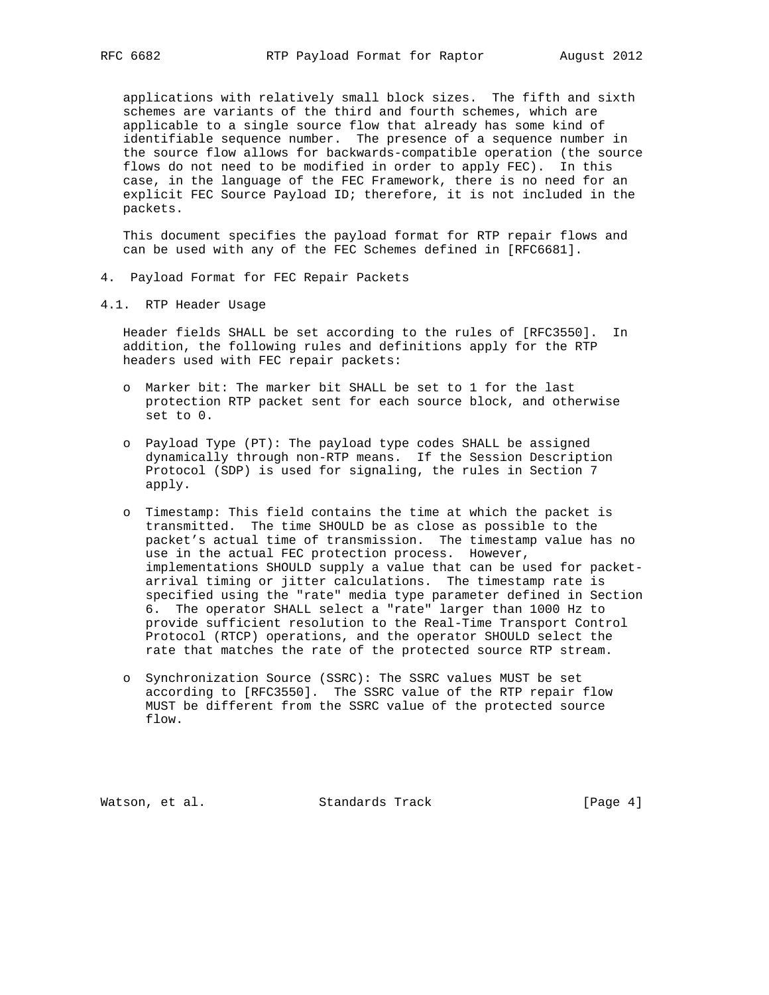applications with relatively small block sizes. The fifth and sixth schemes are variants of the third and fourth schemes, which are applicable to a single source flow that already has some kind of identifiable sequence number. The presence of a sequence number in the source flow allows for backwards-compatible operation (the source flows do not need to be modified in order to apply FEC). In this case, in the language of the FEC Framework, there is no need for an explicit FEC Source Payload ID; therefore, it is not included in the packets.

 This document specifies the payload format for RTP repair flows and can be used with any of the FEC Schemes defined in [RFC6681].

- 4. Payload Format for FEC Repair Packets
- 4.1. RTP Header Usage

 Header fields SHALL be set according to the rules of [RFC3550]. In addition, the following rules and definitions apply for the RTP headers used with FEC repair packets:

- o Marker bit: The marker bit SHALL be set to 1 for the last protection RTP packet sent for each source block, and otherwise set to 0.
- o Payload Type (PT): The payload type codes SHALL be assigned dynamically through non-RTP means. If the Session Description Protocol (SDP) is used for signaling, the rules in Section 7 apply.
- o Timestamp: This field contains the time at which the packet is transmitted. The time SHOULD be as close as possible to the packet's actual time of transmission. The timestamp value has no use in the actual FEC protection process. However, implementations SHOULD supply a value that can be used for packet arrival timing or jitter calculations. The timestamp rate is specified using the "rate" media type parameter defined in Section 6. The operator SHALL select a "rate" larger than 1000 Hz to provide sufficient resolution to the Real-Time Transport Control Protocol (RTCP) operations, and the operator SHOULD select the rate that matches the rate of the protected source RTP stream.
- o Synchronization Source (SSRC): The SSRC values MUST be set according to [RFC3550]. The SSRC value of the RTP repair flow MUST be different from the SSRC value of the protected source flow.

Watson, et al. Standards Track [Page 4]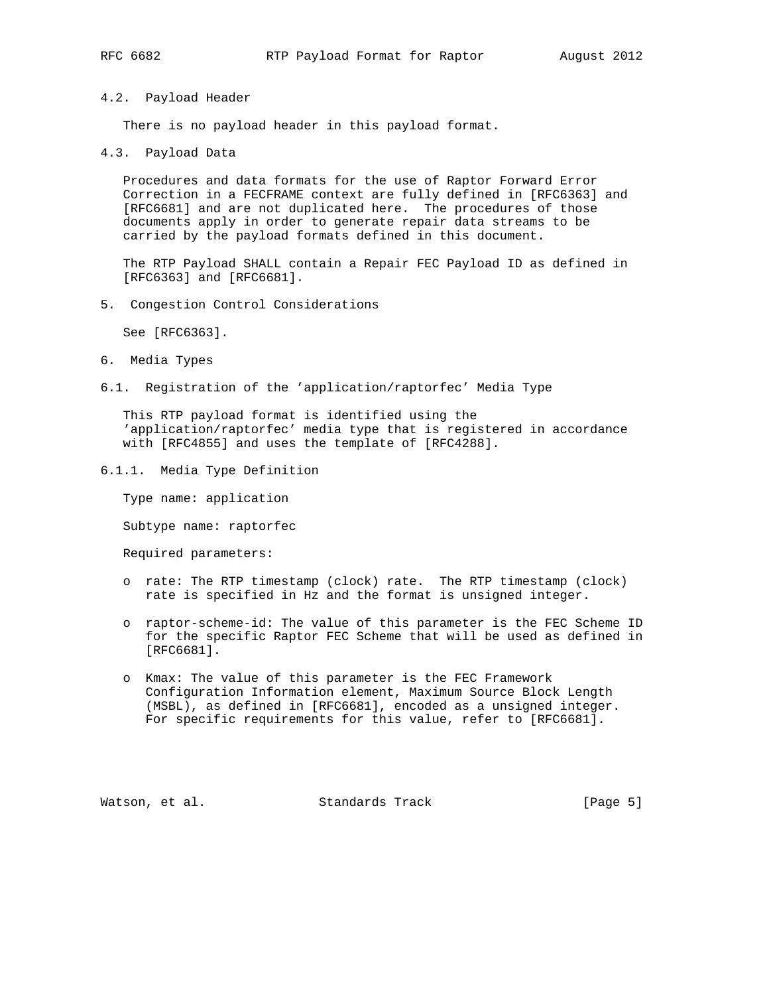## 4.2. Payload Header

There is no payload header in this payload format.

4.3. Payload Data

 Procedures and data formats for the use of Raptor Forward Error Correction in a FECFRAME context are fully defined in [RFC6363] and [RFC6681] and are not duplicated here. The procedures of those documents apply in order to generate repair data streams to be carried by the payload formats defined in this document.

 The RTP Payload SHALL contain a Repair FEC Payload ID as defined in [RFC6363] and [RFC6681].

5. Congestion Control Considerations

See [RFC6363].

- 6. Media Types
- 6.1. Registration of the 'application/raptorfec' Media Type

 This RTP payload format is identified using the 'application/raptorfec' media type that is registered in accordance with [RFC4855] and uses the template of [RFC4288].

6.1.1. Media Type Definition

Type name: application

Subtype name: raptorfec

Required parameters:

- o rate: The RTP timestamp (clock) rate. The RTP timestamp (clock) rate is specified in Hz and the format is unsigned integer.
- o raptor-scheme-id: The value of this parameter is the FEC Scheme ID for the specific Raptor FEC Scheme that will be used as defined in [RFC6681].
- o Kmax: The value of this parameter is the FEC Framework Configuration Information element, Maximum Source Block Length (MSBL), as defined in [RFC6681], encoded as a unsigned integer. For specific requirements for this value, refer to [RFC6681].

Watson, et al. Standards Track [Page 5]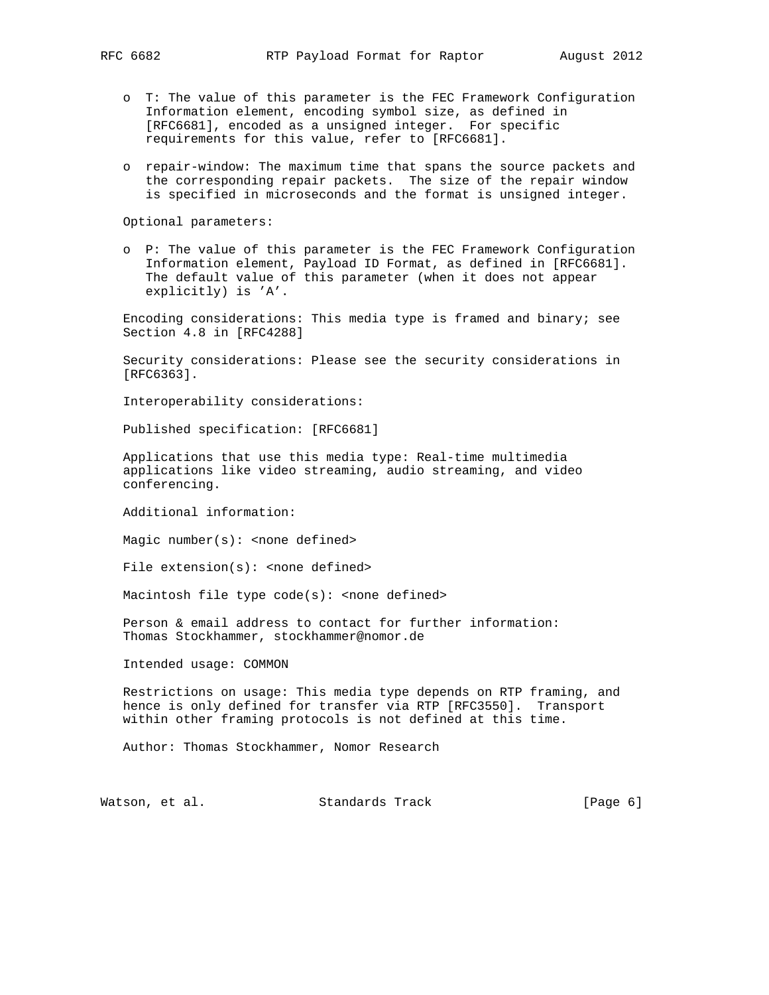- o T: The value of this parameter is the FEC Framework Configuration Information element, encoding symbol size, as defined in [RFC6681], encoded as a unsigned integer. For specific requirements for this value, refer to [RFC6681].
- o repair-window: The maximum time that spans the source packets and the corresponding repair packets. The size of the repair window is specified in microseconds and the format is unsigned integer.

Optional parameters:

 o P: The value of this parameter is the FEC Framework Configuration Information element, Payload ID Format, as defined in [RFC6681]. The default value of this parameter (when it does not appear explicitly) is 'A'.

 Encoding considerations: This media type is framed and binary; see Section 4.8 in [RFC4288]

 Security considerations: Please see the security considerations in [RFC6363].

Interoperability considerations:

Published specification: [RFC6681]

 Applications that use this media type: Real-time multimedia applications like video streaming, audio streaming, and video conferencing.

Additional information:

Magic number( $s$ ): < none defined>

File  $extension(s):$  <none defined>

Macintosh file type  $code(s):$  <none defined>

 Person & email address to contact for further information: Thomas Stockhammer, stockhammer@nomor.de

Intended usage: COMMON

 Restrictions on usage: This media type depends on RTP framing, and hence is only defined for transfer via RTP [RFC3550]. Transport within other framing protocols is not defined at this time.

Author: Thomas Stockhammer, Nomor Research

Watson, et al. Standards Track [Page 6]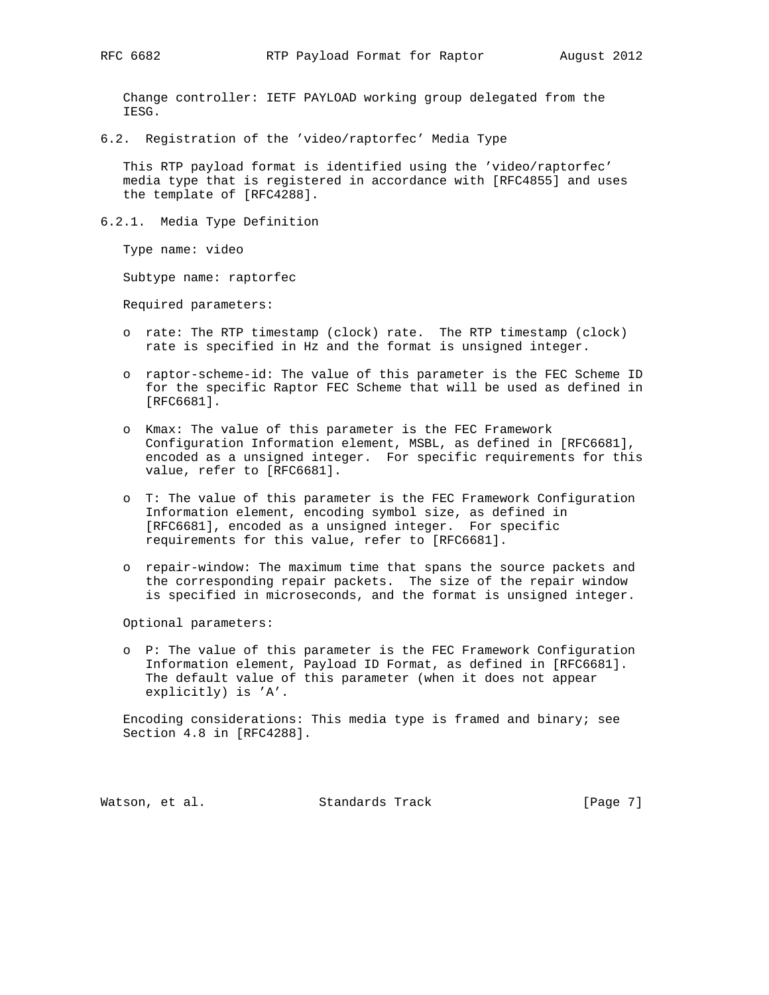Change controller: IETF PAYLOAD working group delegated from the IESG.

6.2. Registration of the 'video/raptorfec' Media Type

 This RTP payload format is identified using the 'video/raptorfec' media type that is registered in accordance with [RFC4855] and uses the template of [RFC4288].

6.2.1. Media Type Definition

Type name: video

Subtype name: raptorfec

Required parameters:

- o rate: The RTP timestamp (clock) rate. The RTP timestamp (clock) rate is specified in Hz and the format is unsigned integer.
- o raptor-scheme-id: The value of this parameter is the FEC Scheme ID for the specific Raptor FEC Scheme that will be used as defined in [RFC6681].
- o Kmax: The value of this parameter is the FEC Framework Configuration Information element, MSBL, as defined in [RFC6681], encoded as a unsigned integer. For specific requirements for this value, refer to [RFC6681].
- o T: The value of this parameter is the FEC Framework Configuration Information element, encoding symbol size, as defined in [RFC6681], encoded as a unsigned integer. For specific requirements for this value, refer to [RFC6681].
- o repair-window: The maximum time that spans the source packets and the corresponding repair packets. The size of the repair window is specified in microseconds, and the format is unsigned integer.

Optional parameters:

 o P: The value of this parameter is the FEC Framework Configuration Information element, Payload ID Format, as defined in [RFC6681]. The default value of this parameter (when it does not appear explicitly) is 'A'.

 Encoding considerations: This media type is framed and binary; see Section 4.8 in [RFC4288].

Watson, et al. Standards Track [Page 7]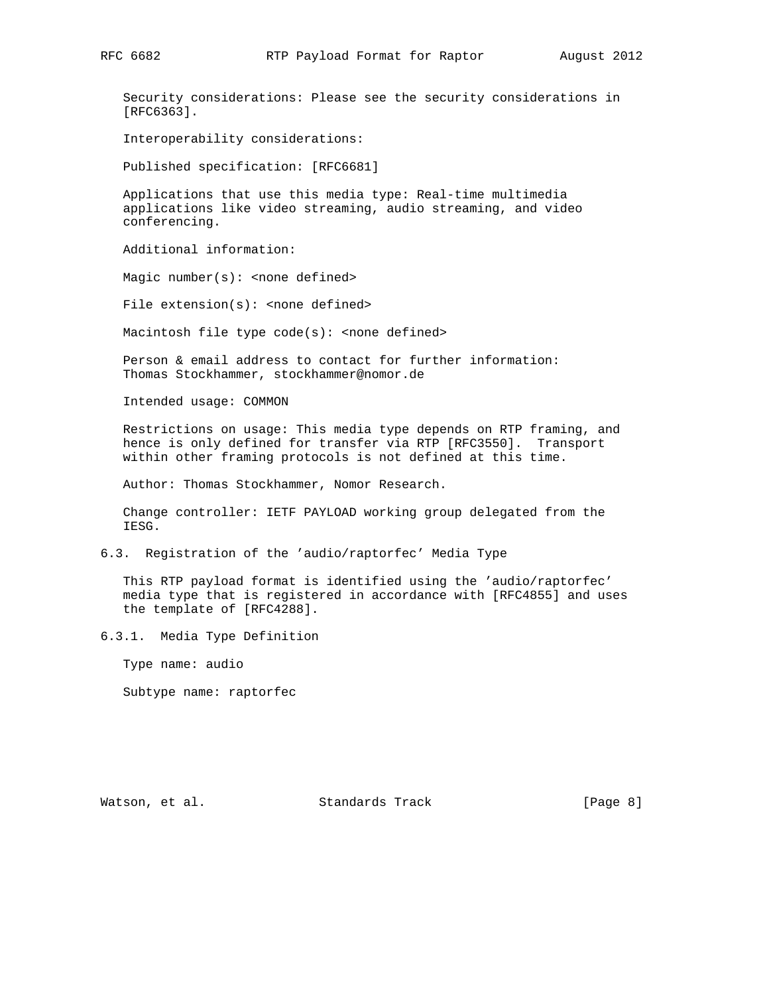Security considerations: Please see the security considerations in [RFC6363].

Interoperability considerations:

Published specification: [RFC6681]

 Applications that use this media type: Real-time multimedia applications like video streaming, audio streaming, and video conferencing.

Additional information:

Magic number $(s)$ : <none defined>

File extension(s): < none defined>

Macintosh file type code(s): < none defined>

 Person & email address to contact for further information: Thomas Stockhammer, stockhammer@nomor.de

Intended usage: COMMON

 Restrictions on usage: This media type depends on RTP framing, and hence is only defined for transfer via RTP [RFC3550]. Transport within other framing protocols is not defined at this time.

Author: Thomas Stockhammer, Nomor Research.

 Change controller: IETF PAYLOAD working group delegated from the IESG.

6.3. Registration of the 'audio/raptorfec' Media Type

 This RTP payload format is identified using the 'audio/raptorfec' media type that is registered in accordance with [RFC4855] and uses the template of [RFC4288].

6.3.1. Media Type Definition

Type name: audio

Subtype name: raptorfec

Watson, et al. Standards Track [Page 8]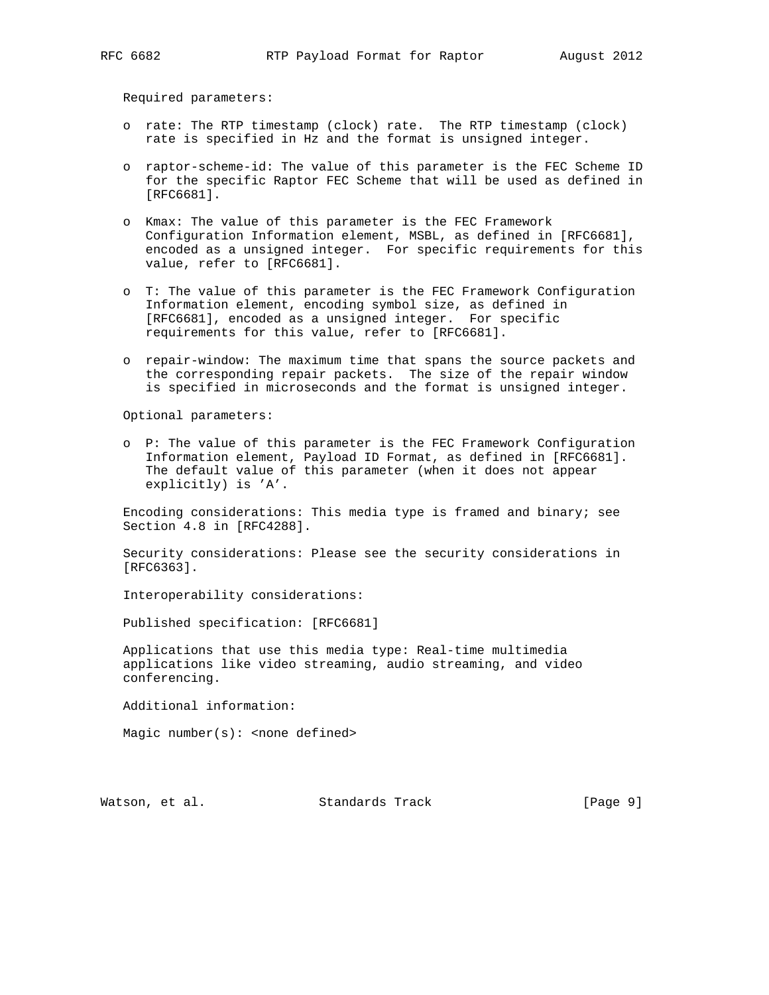Required parameters:

- o rate: The RTP timestamp (clock) rate. The RTP timestamp (clock) rate is specified in Hz and the format is unsigned integer.
- o raptor-scheme-id: The value of this parameter is the FEC Scheme ID for the specific Raptor FEC Scheme that will be used as defined in [RFC6681].
- o Kmax: The value of this parameter is the FEC Framework Configuration Information element, MSBL, as defined in [RFC6681], encoded as a unsigned integer. For specific requirements for this value, refer to [RFC6681].
- o T: The value of this parameter is the FEC Framework Configuration Information element, encoding symbol size, as defined in [RFC6681], encoded as a unsigned integer. For specific requirements for this value, refer to [RFC6681].
- o repair-window: The maximum time that spans the source packets and the corresponding repair packets. The size of the repair window is specified in microseconds and the format is unsigned integer.

Optional parameters:

 o P: The value of this parameter is the FEC Framework Configuration Information element, Payload ID Format, as defined in [RFC6681]. The default value of this parameter (when it does not appear explicitly) is 'A'.

 Encoding considerations: This media type is framed and binary; see Section 4.8 in [RFC4288].

 Security considerations: Please see the security considerations in [RFC6363].

Interoperability considerations:

Published specification: [RFC6681]

 Applications that use this media type: Real-time multimedia applications like video streaming, audio streaming, and video conferencing.

Additional information:

Magic number( $s$ ): < none defined>

Watson, et al. Standards Track [Page 9]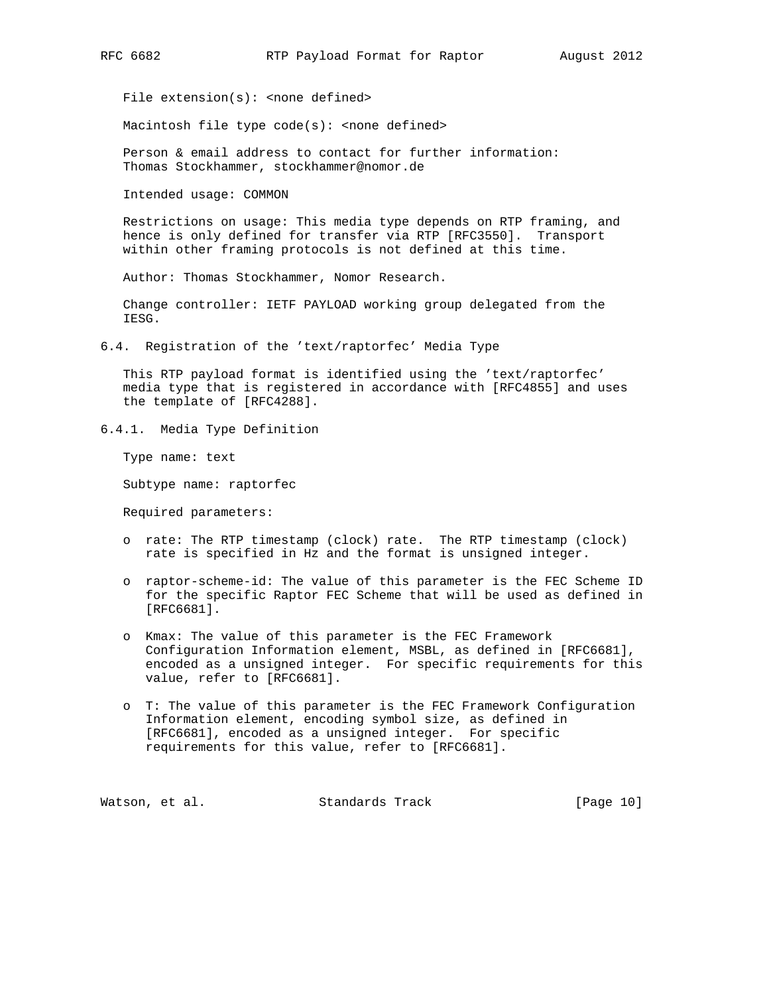File extension(s): < none defined>

Macintosh file type  $code(s):$  <none defined>

 Person & email address to contact for further information: Thomas Stockhammer, stockhammer@nomor.de

Intended usage: COMMON

 Restrictions on usage: This media type depends on RTP framing, and hence is only defined for transfer via RTP [RFC3550]. Transport within other framing protocols is not defined at this time.

Author: Thomas Stockhammer, Nomor Research.

 Change controller: IETF PAYLOAD working group delegated from the IESG.

6.4. Registration of the 'text/raptorfec' Media Type

 This RTP payload format is identified using the 'text/raptorfec' media type that is registered in accordance with [RFC4855] and uses the template of [RFC4288].

6.4.1. Media Type Definition

Type name: text

Subtype name: raptorfec

Required parameters:

- o rate: The RTP timestamp (clock) rate. The RTP timestamp (clock) rate is specified in Hz and the format is unsigned integer.
- o raptor-scheme-id: The value of this parameter is the FEC Scheme ID for the specific Raptor FEC Scheme that will be used as defined in [RFC6681].
- o Kmax: The value of this parameter is the FEC Framework Configuration Information element, MSBL, as defined in [RFC6681], encoded as a unsigned integer. For specific requirements for this value, refer to [RFC6681].
- o T: The value of this parameter is the FEC Framework Configuration Information element, encoding symbol size, as defined in [RFC6681], encoded as a unsigned integer. For specific requirements for this value, refer to [RFC6681].

Watson, et al. Standards Track [Page 10]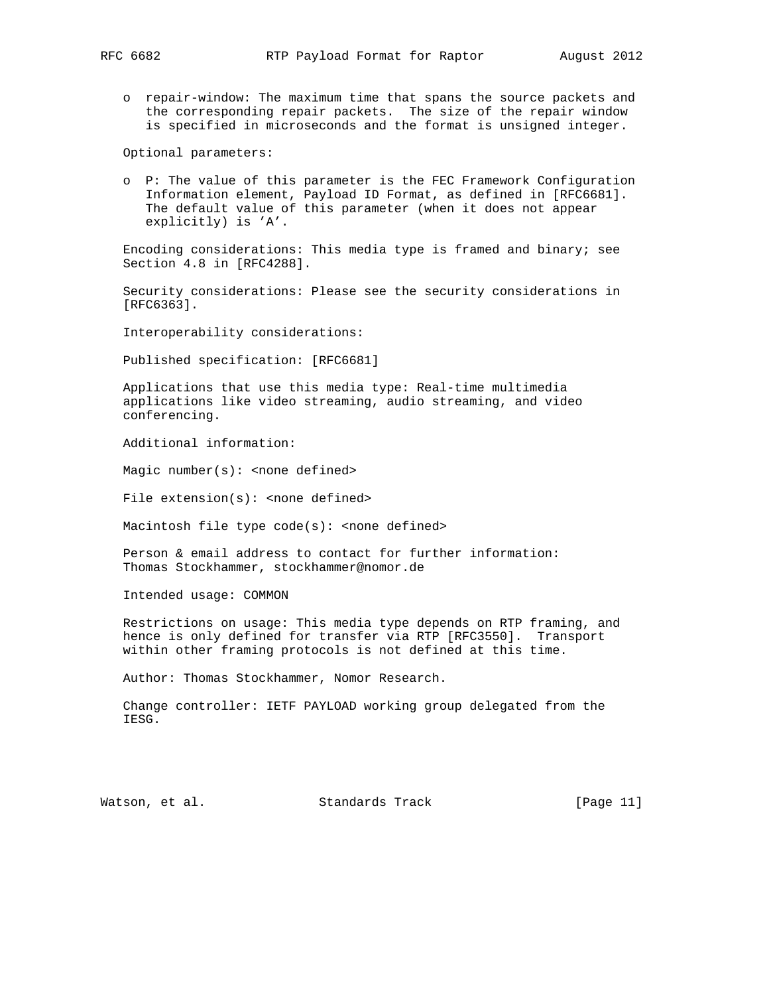o repair-window: The maximum time that spans the source packets and the corresponding repair packets. The size of the repair window is specified in microseconds and the format is unsigned integer.

Optional parameters:

 o P: The value of this parameter is the FEC Framework Configuration Information element, Payload ID Format, as defined in [RFC6681]. The default value of this parameter (when it does not appear explicitly) is 'A'.

 Encoding considerations: This media type is framed and binary; see Section 4.8 in [RFC4288].

 Security considerations: Please see the security considerations in [RFC6363].

Interoperability considerations:

Published specification: [RFC6681]

 Applications that use this media type: Real-time multimedia applications like video streaming, audio streaming, and video conferencing.

Additional information:

Magic number( $s$ ): < none defined>

File  $extension(s):$  <none defined>

Macintosh file type  $code(s):$  <none defined>

 Person & email address to contact for further information: Thomas Stockhammer, stockhammer@nomor.de

Intended usage: COMMON

 Restrictions on usage: This media type depends on RTP framing, and hence is only defined for transfer via RTP [RFC3550]. Transport within other framing protocols is not defined at this time.

Author: Thomas Stockhammer, Nomor Research.

 Change controller: IETF PAYLOAD working group delegated from the IESG.

Watson, et al. Standards Track [Page 11]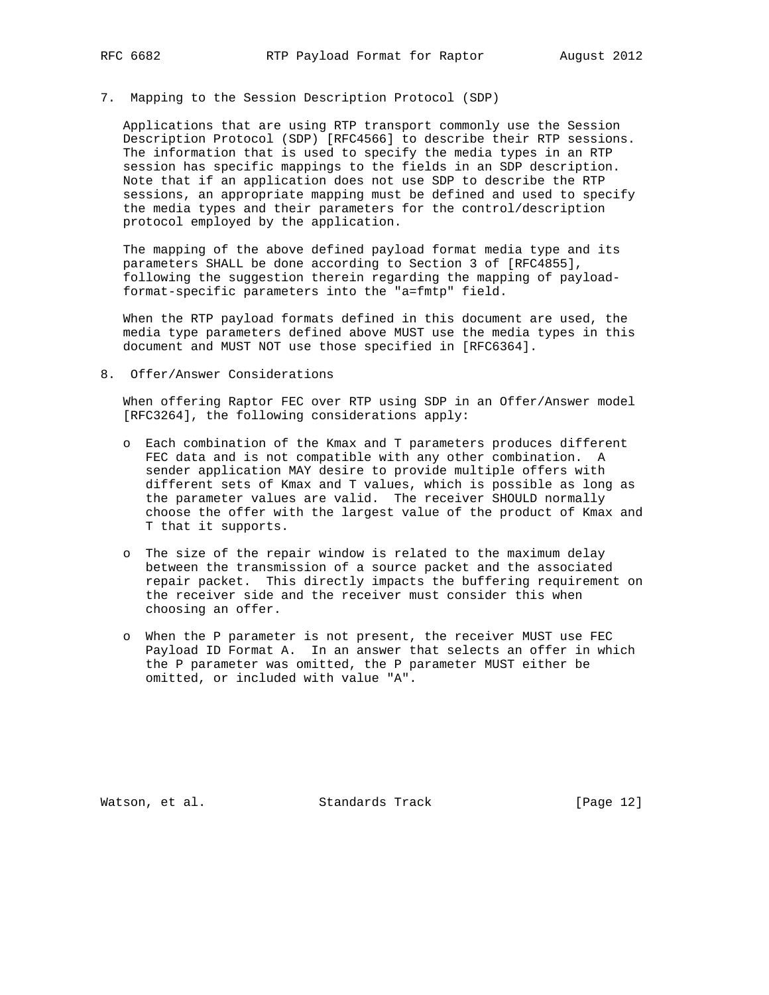#### 7. Mapping to the Session Description Protocol (SDP)

 Applications that are using RTP transport commonly use the Session Description Protocol (SDP) [RFC4566] to describe their RTP sessions. The information that is used to specify the media types in an RTP session has specific mappings to the fields in an SDP description. Note that if an application does not use SDP to describe the RTP sessions, an appropriate mapping must be defined and used to specify the media types and their parameters for the control/description protocol employed by the application.

 The mapping of the above defined payload format media type and its parameters SHALL be done according to Section 3 of [RFC4855], following the suggestion therein regarding the mapping of payload format-specific parameters into the "a=fmtp" field.

 When the RTP payload formats defined in this document are used, the media type parameters defined above MUST use the media types in this document and MUST NOT use those specified in [RFC6364].

8. Offer/Answer Considerations

 When offering Raptor FEC over RTP using SDP in an Offer/Answer model [RFC3264], the following considerations apply:

- o Each combination of the Kmax and T parameters produces different FEC data and is not compatible with any other combination. A sender application MAY desire to provide multiple offers with different sets of Kmax and T values, which is possible as long as the parameter values are valid. The receiver SHOULD normally choose the offer with the largest value of the product of Kmax and T that it supports.
- o The size of the repair window is related to the maximum delay between the transmission of a source packet and the associated repair packet. This directly impacts the buffering requirement on the receiver side and the receiver must consider this when choosing an offer.
- o When the P parameter is not present, the receiver MUST use FEC Payload ID Format A. In an answer that selects an offer in which the P parameter was omitted, the P parameter MUST either be omitted, or included with value "A".

Watson, et al. Standards Track [Page 12]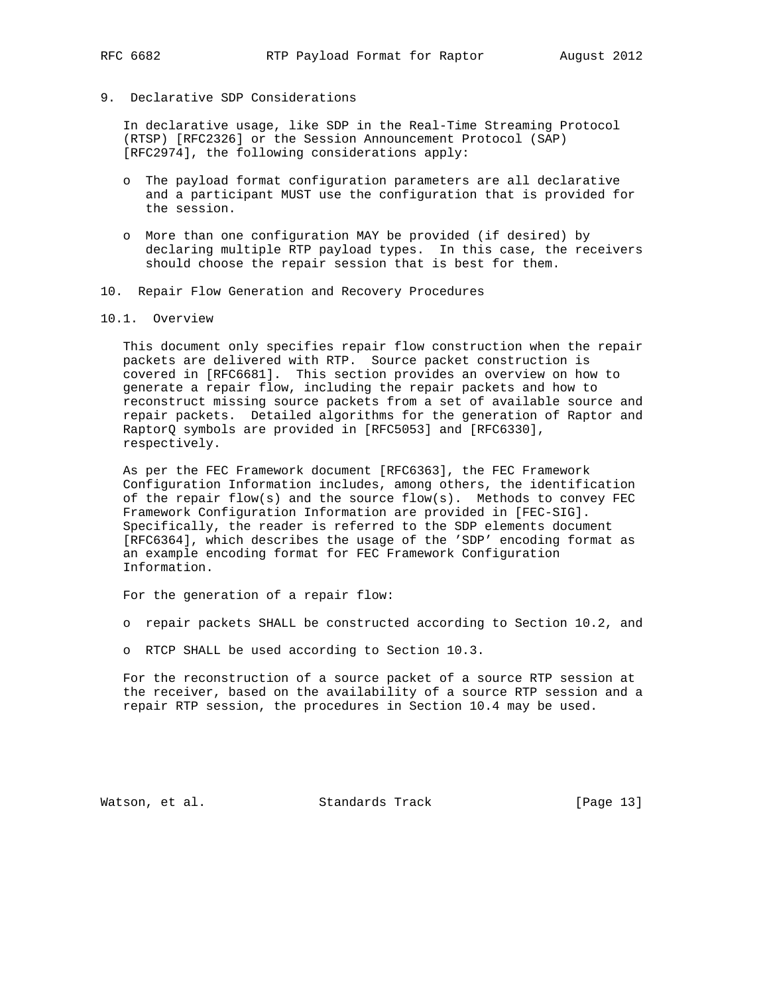- 
- 9. Declarative SDP Considerations

 In declarative usage, like SDP in the Real-Time Streaming Protocol (RTSP) [RFC2326] or the Session Announcement Protocol (SAP) [RFC2974], the following considerations apply:

- o The payload format configuration parameters are all declarative and a participant MUST use the configuration that is provided for the session.
- o More than one configuration MAY be provided (if desired) by declaring multiple RTP payload types. In this case, the receivers should choose the repair session that is best for them.
- 10. Repair Flow Generation and Recovery Procedures
- 10.1. Overview

 This document only specifies repair flow construction when the repair packets are delivered with RTP. Source packet construction is covered in [RFC6681]. This section provides an overview on how to generate a repair flow, including the repair packets and how to reconstruct missing source packets from a set of available source and repair packets. Detailed algorithms for the generation of Raptor and RaptorQ symbols are provided in [RFC5053] and [RFC6330], respectively.

 As per the FEC Framework document [RFC6363], the FEC Framework Configuration Information includes, among others, the identification of the repair flow(s) and the source flow(s). Methods to convey  $FEC$  Framework Configuration Information are provided in [FEC-SIG]. Specifically, the reader is referred to the SDP elements document [RFC6364], which describes the usage of the 'SDP' encoding format as an example encoding format for FEC Framework Configuration Information.

For the generation of a repair flow:

- o repair packets SHALL be constructed according to Section 10.2, and
- o RTCP SHALL be used according to Section 10.3.

 For the reconstruction of a source packet of a source RTP session at the receiver, based on the availability of a source RTP session and a repair RTP session, the procedures in Section 10.4 may be used.

Watson, et al. Standards Track [Page 13]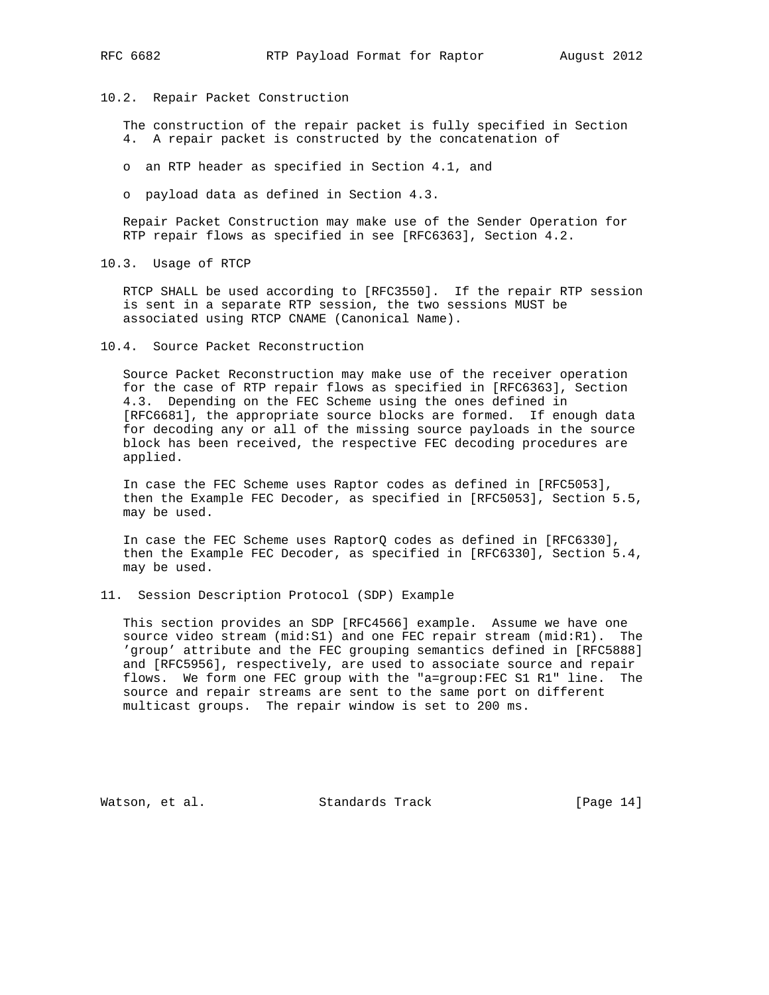10.2. Repair Packet Construction

 The construction of the repair packet is fully specified in Section 4. A repair packet is constructed by the concatenation of

o an RTP header as specified in Section 4.1, and

o payload data as defined in Section 4.3.

 Repair Packet Construction may make use of the Sender Operation for RTP repair flows as specified in see [RFC6363], Section 4.2.

10.3. Usage of RTCP

 RTCP SHALL be used according to [RFC3550]. If the repair RTP session is sent in a separate RTP session, the two sessions MUST be associated using RTCP CNAME (Canonical Name).

10.4. Source Packet Reconstruction

 Source Packet Reconstruction may make use of the receiver operation for the case of RTP repair flows as specified in [RFC6363], Section 4.3. Depending on the FEC Scheme using the ones defined in [RFC6681], the appropriate source blocks are formed. If enough data for decoding any or all of the missing source payloads in the source block has been received, the respective FEC decoding procedures are applied.

 In case the FEC Scheme uses Raptor codes as defined in [RFC5053], then the Example FEC Decoder, as specified in [RFC5053], Section 5.5, may be used.

 In case the FEC Scheme uses RaptorQ codes as defined in [RFC6330], then the Example FEC Decoder, as specified in [RFC6330], Section 5.4, may be used.

11. Session Description Protocol (SDP) Example

 This section provides an SDP [RFC4566] example. Assume we have one source video stream (mid:S1) and one FEC repair stream (mid:R1). The 'group' attribute and the FEC grouping semantics defined in [RFC5888] and [RFC5956], respectively, are used to associate source and repair flows. We form one FEC group with the "a=group:FEC S1 R1" line. The source and repair streams are sent to the same port on different multicast groups. The repair window is set to 200 ms.

Watson, et al. Standards Track [Page 14]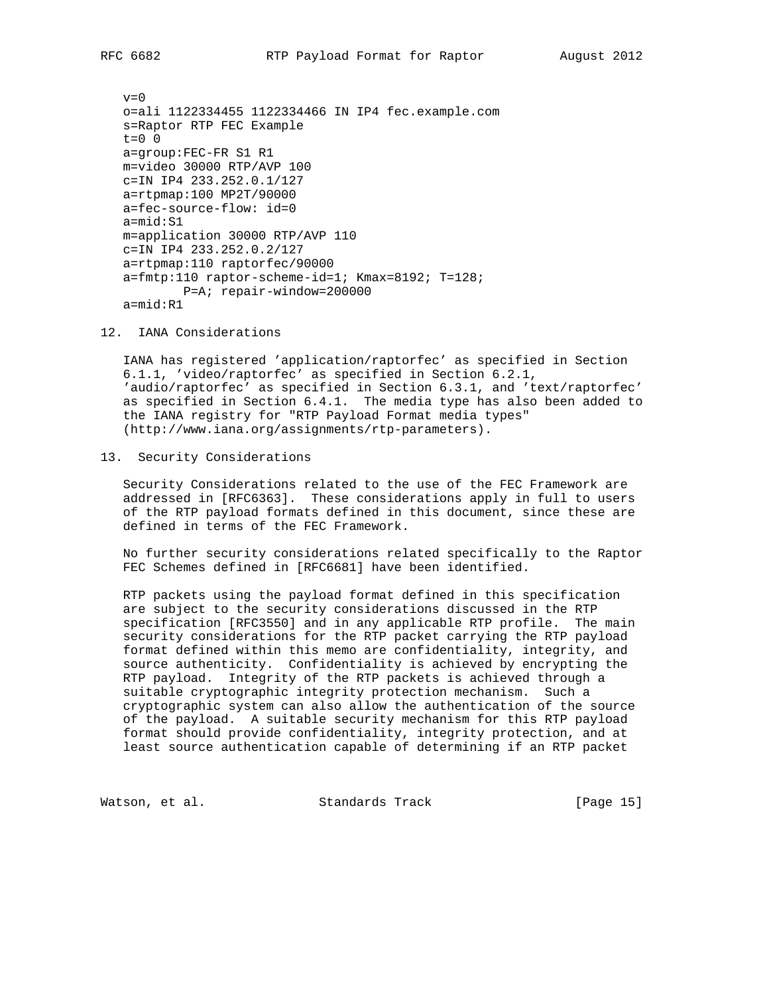$v=0$  o=ali 1122334455 1122334466 IN IP4 fec.example.com s=Raptor RTP FEC Example  $t=0$  0 a=group:FEC-FR S1 R1 m=video 30000 RTP/AVP 100 c=IN IP4 233.252.0.1/127 a=rtpmap:100 MP2T/90000 a=fec-source-flow: id=0 a=mid:S1 m=application 30000 RTP/AVP 110 c=IN IP4 233.252.0.2/127 a=rtpmap:110 raptorfec/90000 a=fmtp:110 raptor-scheme-id=1; Kmax=8192; T=128; P=A; repair-window=200000 a=mid:R1

12. IANA Considerations

 IANA has registered 'application/raptorfec' as specified in Section 6.1.1, 'video/raptorfec' as specified in Section 6.2.1, 'audio/raptorfec' as specified in Section 6.3.1, and 'text/raptorfec' as specified in Section 6.4.1. The media type has also been added to the IANA registry for "RTP Payload Format media types" (http://www.iana.org/assignments/rtp-parameters).

#### 13. Security Considerations

 Security Considerations related to the use of the FEC Framework are addressed in [RFC6363]. These considerations apply in full to users of the RTP payload formats defined in this document, since these are defined in terms of the FEC Framework.

 No further security considerations related specifically to the Raptor FEC Schemes defined in [RFC6681] have been identified.

 RTP packets using the payload format defined in this specification are subject to the security considerations discussed in the RTP specification [RFC3550] and in any applicable RTP profile. The main security considerations for the RTP packet carrying the RTP payload format defined within this memo are confidentiality, integrity, and source authenticity. Confidentiality is achieved by encrypting the RTP payload. Integrity of the RTP packets is achieved through a suitable cryptographic integrity protection mechanism. Such a cryptographic system can also allow the authentication of the source of the payload. A suitable security mechanism for this RTP payload format should provide confidentiality, integrity protection, and at least source authentication capable of determining if an RTP packet

Watson, et al. Standards Track [Page 15]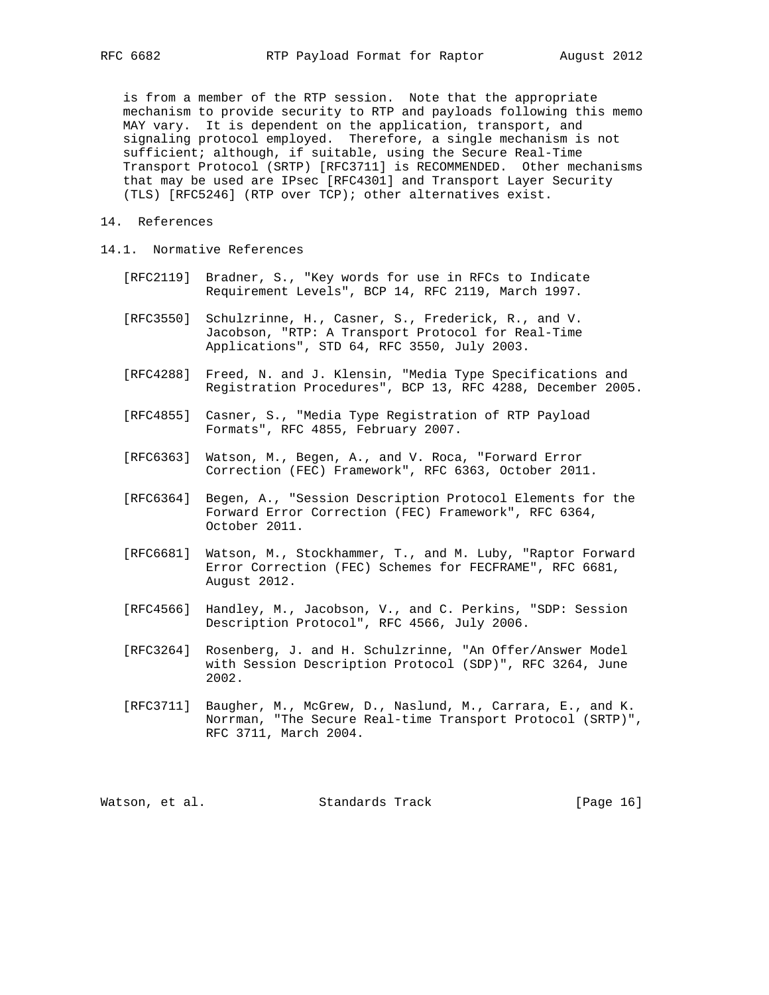is from a member of the RTP session. Note that the appropriate mechanism to provide security to RTP and payloads following this memo MAY vary. It is dependent on the application, transport, and signaling protocol employed. Therefore, a single mechanism is not sufficient; although, if suitable, using the Secure Real-Time Transport Protocol (SRTP) [RFC3711] is RECOMMENDED. Other mechanisms that may be used are IPsec [RFC4301] and Transport Layer Security (TLS) [RFC5246] (RTP over TCP); other alternatives exist.

- 14. References
- 14.1. Normative References
	- [RFC2119] Bradner, S., "Key words for use in RFCs to Indicate Requirement Levels", BCP 14, RFC 2119, March 1997.
	- [RFC3550] Schulzrinne, H., Casner, S., Frederick, R., and V. Jacobson, "RTP: A Transport Protocol for Real-Time Applications", STD 64, RFC 3550, July 2003.
	- [RFC4288] Freed, N. and J. Klensin, "Media Type Specifications and Registration Procedures", BCP 13, RFC 4288, December 2005.
	- [RFC4855] Casner, S., "Media Type Registration of RTP Payload Formats", RFC 4855, February 2007.
	- [RFC6363] Watson, M., Begen, A., and V. Roca, "Forward Error Correction (FEC) Framework", RFC 6363, October 2011.
	- [RFC6364] Begen, A., "Session Description Protocol Elements for the Forward Error Correction (FEC) Framework", RFC 6364, October 2011.
	- [RFC6681] Watson, M., Stockhammer, T., and M. Luby, "Raptor Forward Error Correction (FEC) Schemes for FECFRAME", RFC 6681, August 2012.
	- [RFC4566] Handley, M., Jacobson, V., and C. Perkins, "SDP: Session Description Protocol", RFC 4566, July 2006.
	- [RFC3264] Rosenberg, J. and H. Schulzrinne, "An Offer/Answer Model with Session Description Protocol (SDP)", RFC 3264, June 2002.
	- [RFC3711] Baugher, M., McGrew, D., Naslund, M., Carrara, E., and K. Norrman, "The Secure Real-time Transport Protocol (SRTP)", RFC 3711, March 2004.

| Watson, et al. |  | Standards Track | [Page 16] |  |  |
|----------------|--|-----------------|-----------|--|--|
|----------------|--|-----------------|-----------|--|--|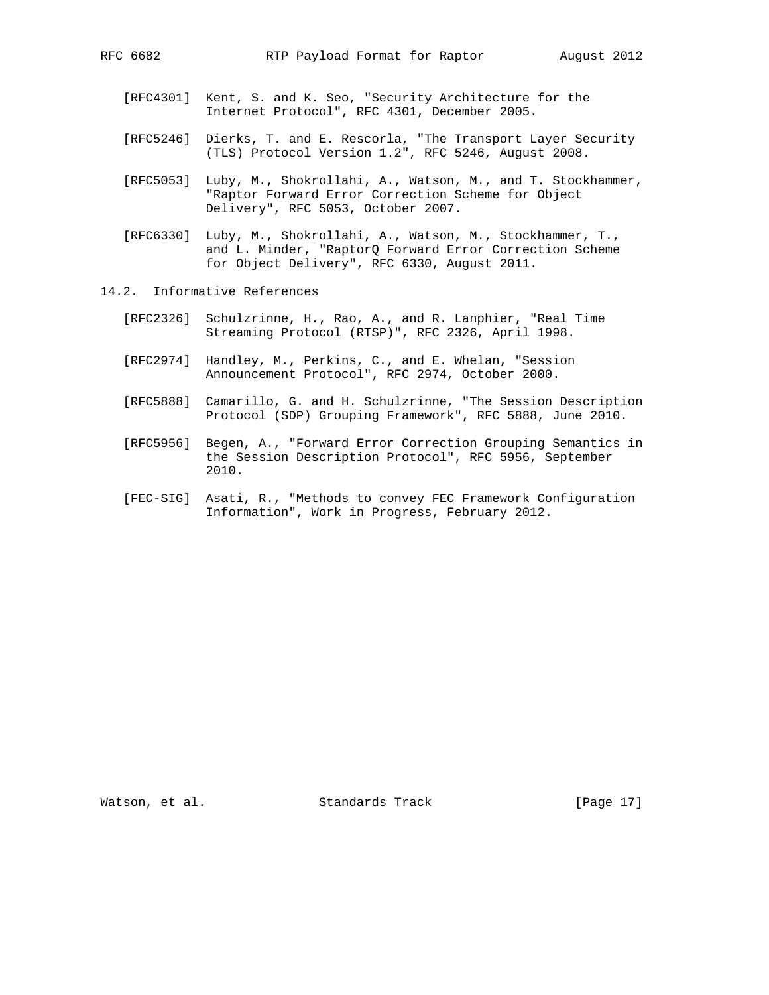- 
- [RFC4301] Kent, S. and K. Seo, "Security Architecture for the Internet Protocol", RFC 4301, December 2005.
- [RFC5246] Dierks, T. and E. Rescorla, "The Transport Layer Security (TLS) Protocol Version 1.2", RFC 5246, August 2008.
- [RFC5053] Luby, M., Shokrollahi, A., Watson, M., and T. Stockhammer, "Raptor Forward Error Correction Scheme for Object Delivery", RFC 5053, October 2007.
- [RFC6330] Luby, M., Shokrollahi, A., Watson, M., Stockhammer, T., and L. Minder, "RaptorQ Forward Error Correction Scheme for Object Delivery", RFC 6330, August 2011.
- 14.2. Informative References
	- [RFC2326] Schulzrinne, H., Rao, A., and R. Lanphier, "Real Time Streaming Protocol (RTSP)", RFC 2326, April 1998.
	- [RFC2974] Handley, M., Perkins, C., and E. Whelan, "Session Announcement Protocol", RFC 2974, October 2000.
	- [RFC5888] Camarillo, G. and H. Schulzrinne, "The Session Description Protocol (SDP) Grouping Framework", RFC 5888, June 2010.
	- [RFC5956] Begen, A., "Forward Error Correction Grouping Semantics in the Session Description Protocol", RFC 5956, September 2010.
	- [FEC-SIG] Asati, R., "Methods to convey FEC Framework Configuration Information", Work in Progress, February 2012.

Watson, et al. Standards Track [Page 17]